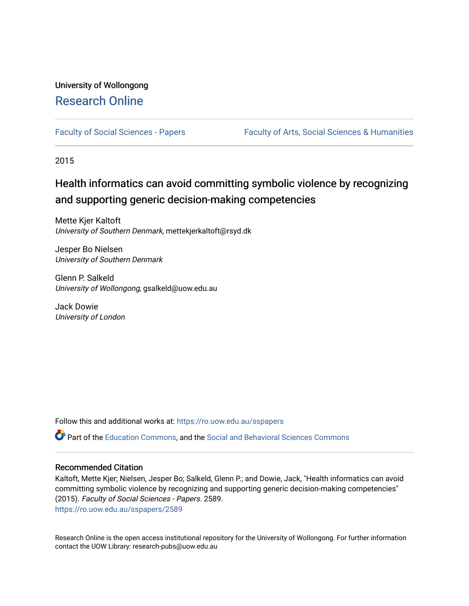# University of Wollongong [Research Online](https://ro.uow.edu.au/)

[Faculty of Social Sciences - Papers](https://ro.uow.edu.au/sspapers) Faculty of Arts, Social Sciences & Humanities

2015

# Health informatics can avoid committing symbolic violence by recognizing and supporting generic decision-making competencies

Mette Kjer Kaltoft University of Southern Denmark, mettekjerkaltoft@rsyd.dk

Jesper Bo Nielsen University of Southern Denmark

Glenn P. Salkeld University of Wollongong, gsalkeld@uow.edu.au

Jack Dowie University of London

Follow this and additional works at: [https://ro.uow.edu.au/sspapers](https://ro.uow.edu.au/sspapers?utm_source=ro.uow.edu.au%2Fsspapers%2F2589&utm_medium=PDF&utm_campaign=PDFCoverPages) 

Part of the [Education Commons](http://network.bepress.com/hgg/discipline/784?utm_source=ro.uow.edu.au%2Fsspapers%2F2589&utm_medium=PDF&utm_campaign=PDFCoverPages), and the [Social and Behavioral Sciences Commons](http://network.bepress.com/hgg/discipline/316?utm_source=ro.uow.edu.au%2Fsspapers%2F2589&utm_medium=PDF&utm_campaign=PDFCoverPages) 

### Recommended Citation

Kaltoft, Mette Kjer; Nielsen, Jesper Bo; Salkeld, Glenn P.; and Dowie, Jack, "Health informatics can avoid committing symbolic violence by recognizing and supporting generic decision-making competencies" (2015). Faculty of Social Sciences - Papers. 2589. [https://ro.uow.edu.au/sspapers/2589](https://ro.uow.edu.au/sspapers/2589?utm_source=ro.uow.edu.au%2Fsspapers%2F2589&utm_medium=PDF&utm_campaign=PDFCoverPages)

Research Online is the open access institutional repository for the University of Wollongong. For further information contact the UOW Library: research-pubs@uow.edu.au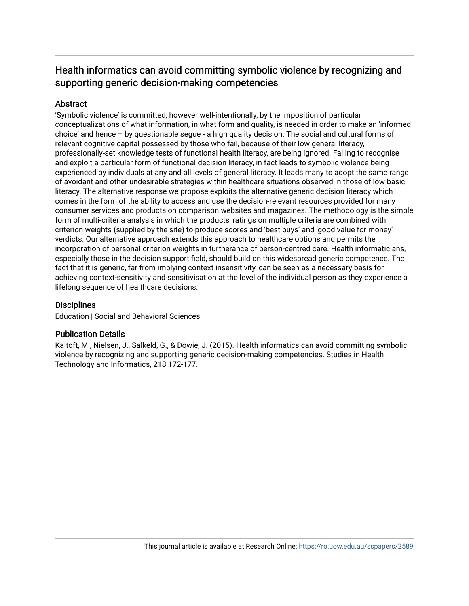# Health informatics can avoid committing symbolic violence by recognizing and supporting generic decision-making competencies

## **Abstract**

'Symbolic violence' is committed, however well-intentionally, by the imposition of particular conceptualizations of what information, in what form and quality, is needed in order to make an 'informed choice' and hence – by questionable segue - a high quality decision. The social and cultural forms of relevant cognitive capital possessed by those who fail, because of their low general literacy, professionally-set knowledge tests of functional health literacy, are being ignored. Failing to recognise and exploit a particular form of functional decision literacy, in fact leads to symbolic violence being experienced by individuals at any and all levels of general literacy. It leads many to adopt the same range of avoidant and other undesirable strategies within healthcare situations observed in those of low basic literacy. The alternative response we propose exploits the alternative generic decision literacy which comes in the form of the ability to access and use the decision-relevant resources provided for many consumer services and products on comparison websites and magazines. The methodology is the simple form of multi-criteria analysis in which the products' ratings on multiple criteria are combined with criterion weights (supplied by the site) to produce scores and 'best buys' and 'good value for money' verdicts. Our alternative approach extends this approach to healthcare options and permits the incorporation of personal criterion weights in furtherance of person-centred care. Health informaticians, especially those in the decision support field, should build on this widespread generic competence. The fact that it is generic, far from implying context insensitivity, can be seen as a necessary basis for achieving context-sensitivity and sensitivisation at the level of the individual person as they experience a lifelong sequence of healthcare decisions.

## **Disciplines**

Education | Social and Behavioral Sciences

## Publication Details

Kaltoft, M., Nielsen, J., Salkeld, G., & Dowie, J. (2015). Health informatics can avoid committing symbolic violence by recognizing and supporting generic decision-making competencies. Studies in Health Technology and Informatics, 218 172-177.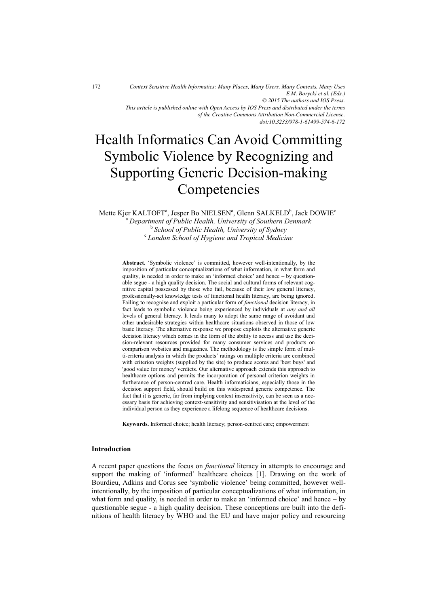*Context Sensitive Health Informatics: Many Places, Many Users, Many Contexts, Many Uses E.M. Borycki et al. (Eds.) © 2015 The authors and IOS Press. This article is published online with Open Access by IOS Press and distributed under the terms of the Creative Commons Attribution Non-Commercial License. doi:10.3233/978-1-61499-574-6-172*

# Health Informatics Can Avoid Committing Symbolic Violence by Recognizing and Supporting Generic Decision-making **Competencies**

Mette Kjer KALTOFT $^{\rm a}$ , Jesper Bo NIELSEN $^{\rm a}$ , Glenn SALKELD $^{\rm b}$ , Jack DOWIE $^{\rm c}$ 

a  *Department of Public Health, University of Southern Denmark*  <sup>b</sup> School of Public Health, University of Sydney<br><sup>c</sup> London School of Hygiana and Tropical Medicin  *London School of Hygiene and Tropical Medicine* 

**Abstract.** 'Symbolic violence' is committed, however well-intentionally, by the imposition of particular conceptualizations of what information, in what form and quality, is needed in order to make an 'informed choice' and hence – by questionable segue - a high quality decision. The social and cultural forms of relevant cognitive capital possessed by those who fail, because of their low general literacy, professionally-set knowledge tests of functional health literacy, are being ignored. Failing to recognise and exploit a particular form of *functional* decision literacy, in fact leads to symbolic violence being experienced by individuals at *any and all* levels of general literacy. It leads many to adopt the same range of avoidant and other undesirable strategies within healthcare situations observed in those of low basic literacy. The alternative response we propose exploits the alternative generic decision literacy which comes in the form of the ability to access and use the decision-relevant resources provided for many consumer services and products on comparison websites and magazines. The methodology is the simple form of multi-criteria analysis in which the products' ratings on multiple criteria are combined with criterion weights (supplied by the site) to produce scores and 'best buys' and 'good value for money' verdicts. Our alternative approach extends this approach to healthcare options and permits the incorporation of personal criterion weights in furtherance of person-centred care. Health informaticians, especially those in the decision support field, should build on this widespread generic competence. The fact that it is generic, far from implying context insensitivity, can be seen as a necessary basis for achieving context-sensitivity and sensitivisation at the level of the individual person as they experience a lifelong sequence of healthcare decisions.

**Keywords.** Informed choice; health literacy; person-centred care; empowerment

### **Introduction**

A recent paper questions the focus on *functional* literacy in attempts to encourage and support the making of 'informed' healthcare choices [1]. Drawing on the work of Bourdieu, Adkins and Corus see 'symbolic violence' being committed, however wellintentionally, by the imposition of particular conceptualizations of what information, in what form and quality, is needed in order to make an 'informed choice' and hence – by questionable segue - a high quality decision. These conceptions are built into the definitions of health literacy by WHO and the EU and have major policy and resourcing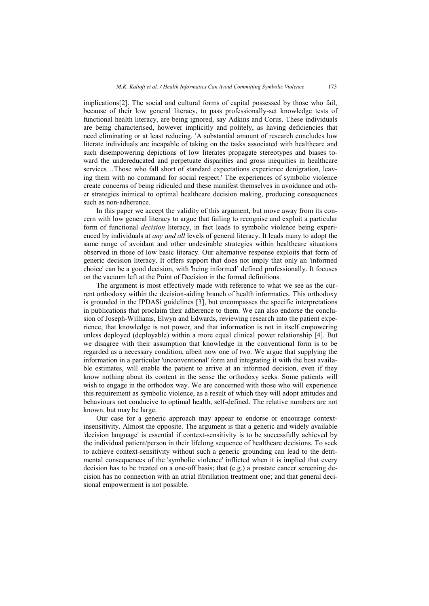implications[2]. The social and cultural forms of capital possessed by those who fail, because of their low general literacy, to pass professionally-set knowledge tests of functional health literacy, are being ignored, say Adkins and Corus. These individuals are being characterised, however implicitly and politely, as having deficiencies that need eliminating or at least reducing. 'A substantial amount of research concludes low literate individuals are incapable of taking on the tasks associated with healthcare and such disempowering depictions of low literates propagate stereotypes and biases toward the undereducated and perpetuate disparities and gross inequities in healthcare services…Those who fall short of standard expectations experience denigration, leaving them with no command for social respect.' The experiences of symbolic violence create concerns of being ridiculed and these manifest themselves in avoidance and other strategies inimical to optimal healthcare decision making, producing consequences such as non-adherence.

In this paper we accept the validity of this argument, but move away from its concern with low general literacy to argue that failing to recognise and exploit a particular form of functional *decision* literacy, in fact leads to symbolic violence being experienced by individuals at *any and all* levels of general literacy. It leads many to adopt the same range of avoidant and other undesirable strategies within healthcare situations observed in those of low basic literacy. Our alternative response exploits that form of generic decision literacy. It offers support that does not imply that only an 'informed choice' can be a good decision, with 'being informed' defined professionally. It focuses on the vacuum left at the Point of Decision in the formal definitions.

The argument is most effectively made with reference to what we see as the current orthodoxy within the decision-aiding branch of health informatics. This orthodoxy is grounded in the IPDASi guidelines [3], but encompasses the specific interpretations in publications that proclaim their adherence to them. We can also endorse the conclusion of Joseph-Williams, Elwyn and Edwards, reviewing research into the patient experience, that knowledge is not power, and that information is not in itself empowering unless deployed (deployable) within a more equal clinical power relationship [4]. But we disagree with their assumption that knowledge in the conventional form is to be regarded as a necessary condition, albeit now one of two. We argue that supplying the information in a particular 'unconventional' form and integrating it with the best available estimates, will enable the patient to arrive at an informed decision, even if they know nothing about its content in the sense the orthodoxy seeks. Some patients will wish to engage in the orthodox way. We are concerned with those who will experience this requirement as symbolic violence, as a result of which they will adopt attitudes and behaviours not conducive to optimal health, self-defined. The relative numbers are not known, but may be large.

Our case for a generic approach may appear to endorse or encourage contextinsensitivity. Almost the opposite. The argument is that a generic and widely available 'decision language' is essential if context-sensitivity is to be successfully achieved by the individual patient/person in their lifelong sequence of healthcare decisions. To seek to achieve context-sensitivity without such a generic grounding can lead to the detrimental consequences of the 'symbolic violence' inflicted when it is implied that every decision has to be treated on a one-off basis; that (e.g.) a prostate cancer screening decision has no connection with an atrial fibrillation treatment one; and that general decisional empowerment is not possible.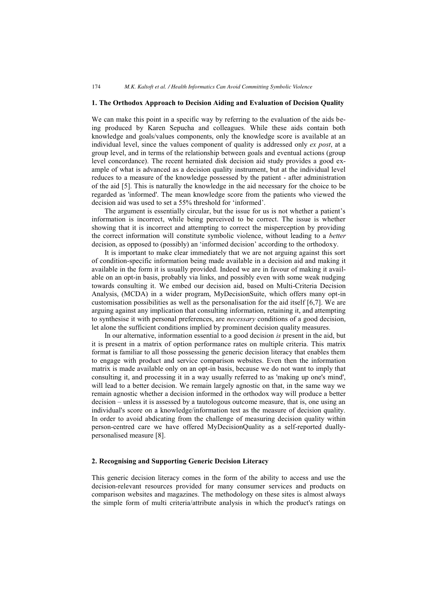### **1. The Orthodox Approach to Decision Aiding and Evaluation of Decision Quality**

We can make this point in a specific way by referring to the evaluation of the aids being produced by Karen Sepucha and colleagues. While these aids contain both knowledge and goals/values components, only the knowledge score is available at an individual level, since the values component of quality is addressed only *ex post*, at a group level, and in terms of the relationship between goals and eventual actions (group level concordance). The recent herniated disk decision aid study provides a good example of what is advanced as a decision quality instrument, but at the individual level reduces to a measure of the knowledge possessed by the patient - after administration of the aid [5]. This is naturally the knowledge in the aid necessary for the choice to be regarded as 'informed'. The mean knowledge score from the patients who viewed the decision aid was used to set a 55% threshold for 'informed'.

The argument is essentially circular, but the issue for us is not whether a patient's information is incorrect, while being perceived to be correct. The issue is whether showing that it is incorrect and attempting to correct the misperception by providing the correct information will constitute symbolic violence, without leading to a *better*  decision, as opposed to (possibly) an 'informed decision' according to the orthodoxy.

It is important to make clear immediately that we are not arguing against this sort of condition-specific information being made available in a decision aid and making it available in the form it is usually provided. Indeed we are in favour of making it available on an opt-in basis, probably via links, and possibly even with some weak nudging towards consulting it. We embed our decision aid, based on Multi-Criteria Decision Analysis, (MCDA) in a wider program, MyDecisionSuite, which offers many opt-in customisation possibilities as well as the personalisation for the aid itself [6,7]. We are arguing against any implication that consulting information, retaining it, and attempting to synthesise it with personal preferences, are *necessary* conditions of a good decision, let alone the sufficient conditions implied by prominent decision quality measures.

In our alternative, information essential to a good decision *is* present in the aid, but it is present in a matrix of option performance rates on multiple criteria. This matrix format is familiar to all those possessing the generic decision literacy that enables them to engage with product and service comparison websites. Even then the information matrix is made available only on an opt-in basis, because we do not want to imply that consulting it, and processing it in a way usually referred to as 'making up one's mind', will lead to a better decision. We remain largely agnostic on that, in the same way we remain agnostic whether a decision informed in the orthodox way will produce a better decision – unless it is assessed by a tautologous outcome measure, that is, one using an individual's score on a knowledge/information test as the measure of decision quality. In order to avoid abdicating from the challenge of measuring decision quality within person-centred care we have offered MyDecisionQuality as a self-reported duallypersonalised measure [8].

### **2. Recognising and Supporting Generic Decision Literacy**

This generic decision literacy comes in the form of the ability to access and use the decision-relevant resources provided for many consumer services and products on comparison websites and magazines. The methodology on these sites is almost always the simple form of multi criteria/attribute analysis in which the product's ratings on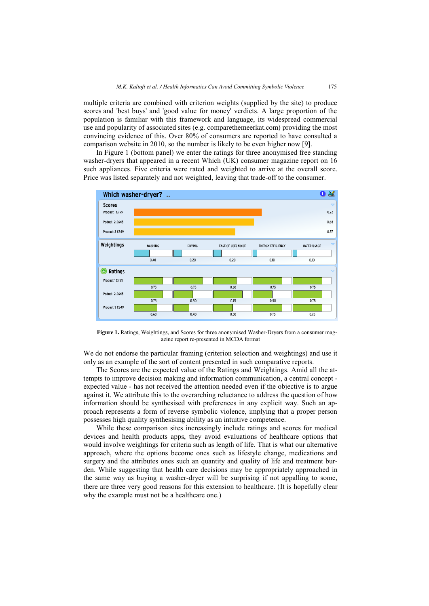multiple criteria are combined with criterion weights (supplied by the site) to produce scores and 'best buys' and 'good value for money' verdicts. A large proportion of the population is familiar with this framework and language, its widespread commercial use and popularity of associated sites (e.g. comparethemeerkat.com) providing the most convincing evidence of this. Over 80% of consumers are reported to have consulted a comparison website in 2010, so the number is likely to be even higher now [9].

In Figure 1 (bottom panel) we enter the ratings for three anonymised free standing washer-dryers that appeared in a recent Which (UK) consumer magazine report on 16 such appliances. Five criteria were rated and weighted to arrive at the overall score. Price was listed separately and not weighted, leaving that trade-off to the consumer.



**Figure 1.** Ratings, Weightings, and Scores for three anonymised Washer-Dryers from a consumer magazine report re-presented in MCDA format

We do not endorse the particular framing (criterion selection and weightings) and use it only as an example of the sort of content presented in such comparative reports.

The Scores are the expected value of the Ratings and Weightings. Amid all the attempts to improve decision making and information communication, a central concept expected value - has not received the attention needed even if the objective is to argue against it. We attribute this to the overarching reluctance to address the question of how information should be synthesised with preferences in any explicit way. Such an approach represents a form of reverse symbolic violence, implying that a proper person possesses high quality synthesising ability as an intuitive competence.

While these comparison sites increasingly include ratings and scores for medical devices and health products apps, they avoid evaluations of healthcare options that would involve weightings for criteria such as length of life. That is what our alternative approach, where the options become ones such as lifestyle change, medications and surgery and the attributes ones such an quantity and quality of life and treatment burden. While suggesting that health care decisions may be appropriately approached in the same way as buying a washer-dryer will be surprising if not appalling to some, there are three very good reasons for this extension to healthcare.(It is hopefully clear why the example must not be a healthcare one.)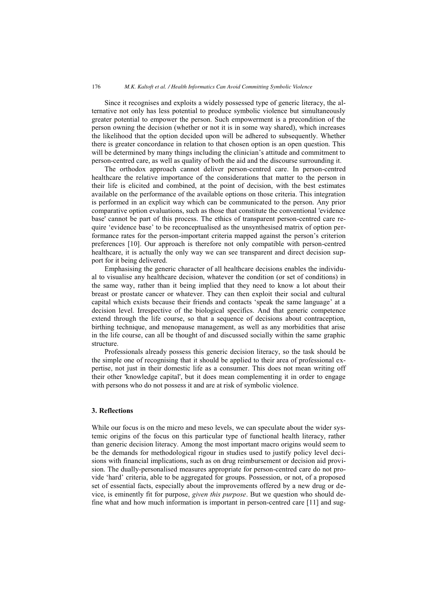Since it recognises and exploits a widely possessed type of generic literacy, the alternative not only has less potential to produce symbolic violence but simultaneously greater potential to empower the person. Such empowerment is a precondition of the person owning the decision (whether or not it is in some way shared), which increases the likelihood that the option decided upon will be adhered to subsequently. Whether there is greater concordance in relation to that chosen option is an open question. This will be determined by many things including the clinician's attitude and commitment to person-centred care, as well as quality of both the aid and the discourse surrounding it.

The orthodox approach cannot deliver person-centred care. In person-centred healthcare the relative importance of the considerations that matter to the person in their life is elicited and combined, at the point of decision, with the best estimates available on the performance of the available options on those criteria. This integration is performed in an explicit way which can be communicated to the person. Any prior comparative option evaluations, such as those that constitute the conventional 'evidence base' cannot be part of this process. The ethics of transparent person-centred care require 'evidence base' to be reconceptualised as the unsynthesised matrix of option performance rates for the person-important criteria mapped against the person's criterion preferences [10]. Our approach is therefore not only compatible with person-centred healthcare, it is actually the only way we can see transparent and direct decision support for it being delivered.

Emphasising the generic character of all healthcare decisions enables the individual to visualise any healthcare decision, whatever the condition (or set of conditions) in the same way, rather than it being implied that they need to know a lot about their breast or prostate cancer or whatever. They can then exploit their social and cultural capital which exists because their friends and contacts 'speak the same language' at a decision level. Irrespective of the biological specifics. And that generic competence extend through the life course, so that a sequence of decisions about contraception, birthing technique, and menopause management, as well as any morbidities that arise in the life course, can all be thought of and discussed socially within the same graphic structure.

Professionals already possess this generic decision literacy, so the task should be the simple one of recognising that it should be applied to their area of professional expertise, not just in their domestic life as a consumer. This does not mean writing off their other 'knowledge capital', but it does mean complementing it in order to engage with persons who do not possess it and are at risk of symbolic violence.

### **3. Reflections**

While our focus is on the micro and meso levels, we can speculate about the wider systemic origins of the focus on this particular type of functional health literacy, rather than generic decision literacy. Among the most important macro origins would seem to be the demands for methodological rigour in studies used to justify policy level decisions with financial implications, such as on drug reimbursement or decision aid provision. The dually-personalised measures appropriate for person-centred care do not provide 'hard' criteria, able to be aggregated for groups. Possession, or not, of a proposed set of essential facts, especially about the improvements offered by a new drug or device, is eminently fit for purpose, *given this purpose*. But we question who should define what and how much information is important in person-centred care [11] and sug